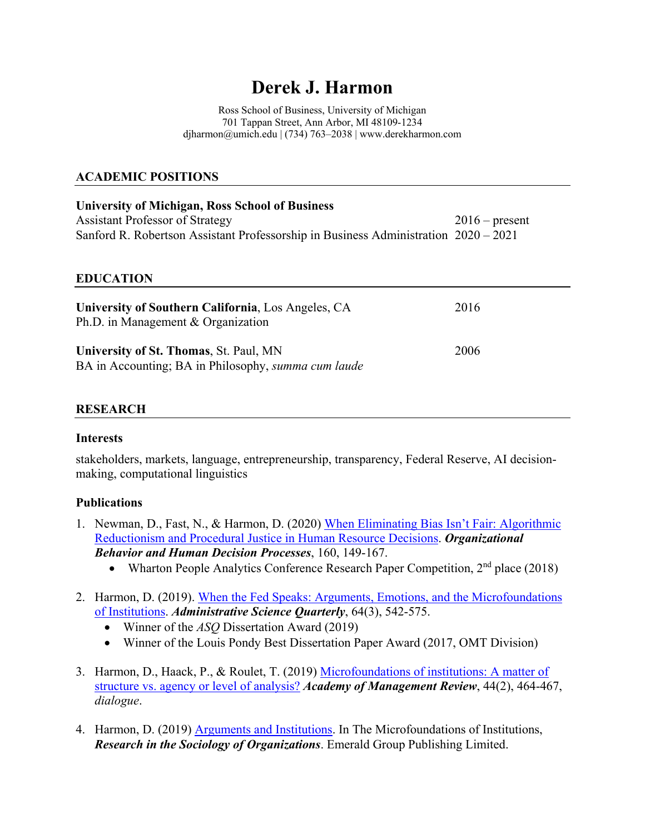# **Derek J. Harmon**

Ross School of Business, University of Michigan 701 Tappan Street, Ann Arbor, MI 48109-1234 djharmon@umich.edu | (734) 763–2038 | www.derekharmon.com

## **ACADEMIC POSITIONS**

| <b>University of Michigan, Ross School of Business</b>                              |                  |
|-------------------------------------------------------------------------------------|------------------|
| <b>Assistant Professor of Strategy</b>                                              | $2016$ – present |
| Sanford R. Robertson Assistant Professorship in Business Administration 2020 – 2021 |                  |

#### **EDUCATION**

| University of Southern California, Los Angeles, CA<br>Ph.D. in Management & Organization             | 2016 |
|------------------------------------------------------------------------------------------------------|------|
| University of St. Thomas, St. Paul, MN<br>BA in Accounting; BA in Philosophy, <i>summa cum laude</i> | 2006 |

## **RESEARCH**

#### **Interests**

stakeholders, markets, language, entrepreneurship, transparency, Federal Reserve, AI decisionmaking, computational linguistics

## **Publications**

- 1. Newman, D., Fast, N., & Harmon, D. (2020) [When Eliminating Bias Isn't Fair: Algorithmic](https://static1.squarespace.com/static/54bc7ca7e4b0276f663d1a22/t/5fe9e40d391133766fc2df19/1609163793366/Newman+Fast+Harmon+%282020%29.pdf)  [Reductionism and Procedural Justice](https://static1.squarespace.com/static/54bc7ca7e4b0276f663d1a22/t/5fe9e40d391133766fc2df19/1609163793366/Newman+Fast+Harmon+%282020%29.pdf) in Human Resource Decisions. *Organizational Behavior and Human Decision Processes*, 160, 149-167.
	- Wharton People Analytics Conference Research Paper Competition, 2<sup>nd</sup> place (2018)
- 2. Harmon, D. (2019). [When the Fed Speaks: Arguments, Emotions, and the Microfoundations](https://static1.squarespace.com/static/54bc7ca7e4b0276f663d1a22/t/5afc349988251b30fb701cbd/1526477977957/Harmon+%282018%29.pdf)  [of Institutions.](https://static1.squarespace.com/static/54bc7ca7e4b0276f663d1a22/t/5afc349988251b30fb701cbd/1526477977957/Harmon+%282018%29.pdf) *Administrative Science Quarterly*, 64(3), 542-575.
	- Winner of the *ASQ* Dissertation Award (2019)
	- Winner of the Louis Pondy Best Dissertation Paper Award (2017, OMT Division)
- 3. Harmon, D., Haack, P., & Roulet, T. (2019) [Microfoundations of institutions: A matter of](https://static1.squarespace.com/static/54bc7ca7e4b0276f663d1a22/t/5fe9e5335f46435143fe8071/1609164083344/Harmon%2C+Haack%2C+Roulet+%282019%29.pdf)  [structure vs. agency or level of analysis?](https://static1.squarespace.com/static/54bc7ca7e4b0276f663d1a22/t/5fe9e5335f46435143fe8071/1609164083344/Harmon%2C+Haack%2C+Roulet+%282019%29.pdf) *Academy of Management Review*, 44(2), 464-467, *dialogue*.
- 4. Harmon, D. (2019) [Arguments and Institutions.](https://static1.squarespace.com/static/54bc7ca7e4b0276f663d1a22/t/5fe9e566d107c369c5f133ad/1609164134483/Harmon+%282019%29+RSO.pdf) In The Microfoundations of Institutions, *Research in the Sociology of Organizations*. Emerald Group Publishing Limited.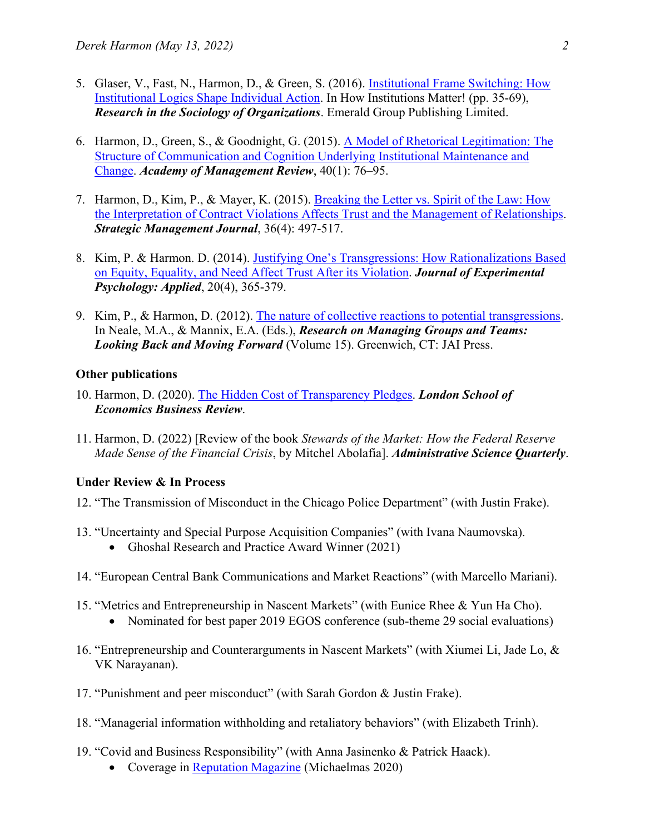- 5. Glaser, V., Fast, N., Harmon, D., & Green, S. (2016). [Institutional Frame Switching: How](https://static1.squarespace.com/static/54bc7ca7e4b0276f663d1a22/t/5fe9e5825f46435143fe852f/1609164163114/Glaser+Fast+Harmon+Green+%282016%29+Institutional+Frame+Switching.pdf)  [Institutional Logics Shape Individual Action.](https://static1.squarespace.com/static/54bc7ca7e4b0276f663d1a22/t/5fe9e5825f46435143fe852f/1609164163114/Glaser+Fast+Harmon+Green+%282016%29+Institutional+Frame+Switching.pdf) In How Institutions Matter! (pp. 35-69), *Research in the Sociology of Organizations*. Emerald Group Publishing Limited.
- 6. Harmon, D., Green, S., & Goodnight, G. (2015). [A Model of Rhetorical Legitimation: The](https://static1.squarespace.com/static/54bc7ca7e4b0276f663d1a22/t/5fe9e5993bc7803746e7f374/1609164186050/Harmon+Green+Goodnight+%282015+AMR%29.pdf)  [Structure of Communication and Cognition Underlying Institutional Maintenance and](https://static1.squarespace.com/static/54bc7ca7e4b0276f663d1a22/t/5fe9e5993bc7803746e7f374/1609164186050/Harmon+Green+Goodnight+%282015+AMR%29.pdf)  [Change.](https://static1.squarespace.com/static/54bc7ca7e4b0276f663d1a22/t/5fe9e5993bc7803746e7f374/1609164186050/Harmon+Green+Goodnight+%282015+AMR%29.pdf) *Academy of Management Review*, 40(1): 76–95.
- 7. Harmon, D., Kim, P., & Mayer, K. (2015). [Breaking the Letter vs. Spirit of the Law: How](https://static1.squarespace.com/static/54bc7ca7e4b0276f663d1a22/t/5fe9e5ab3a38f1395d9058f8/1609164203624/Harmon+Kim+Mayer+%282015%29.pdf)  [the Interpretation of Contract Violations Affects Trust and the Management of Relationships.](https://static1.squarespace.com/static/54bc7ca7e4b0276f663d1a22/t/5fe9e5ab3a38f1395d9058f8/1609164203624/Harmon+Kim+Mayer+%282015%29.pdf) *Strategic Management Journal*, 36(4): 497-517.
- 8. Kim, P. & Harmon. D. (2014). [Justifying One's Transgressions: How Rationalizations Based](https://static1.squarespace.com/static/54bc7ca7e4b0276f663d1a22/t/5fe9e5c148ad1f13961d5a7c/1609164225513/Kim+Harmon+%282014+JEP+Applied%29.pdf)  [on Equity, Equality, and Need Affect Trust After its Violation.](https://static1.squarespace.com/static/54bc7ca7e4b0276f663d1a22/t/5fe9e5c148ad1f13961d5a7c/1609164225513/Kim+Harmon+%282014+JEP+Applied%29.pdf) *Journal of Experimental Psychology: Applied*, 20(4), 365-379.
- 9. Kim, P., & Harmon, D. (2012). [The nature of collective reactions to potential transgressions.](https://static1.squarespace.com/static/54bc7ca7e4b0276f663d1a22/t/608aa2529bfdbc0be4d0b6d6/1619698258570/Kim+Harmon+%282012%29.pdf) In Neale, M.A., & Mannix, E.A. (Eds.), *Research on Managing Groups and Teams: Looking Back and Moving Forward* (Volume 15). Greenwich, CT: JAI Press.

#### **Other publications**

- 10. Harmon, D. (2020). [The Hidden Cost of Transparency Pledges.](https://blogs.lse.ac.uk/businessreview/2020/12/18/the-hidden-cost-of-transparency-pledges/) *London School of Economics Business Review*.
- 11. Harmon, D. (2022) [Review of the book *Stewards of the Market: How the Federal Reserve Made Sense of the Financial Crisis*, by Mitchel Abolafia]. *Administrative Science Quarterly*.

## **Under Review & In Process**

- 12. "The Transmission of Misconduct in the Chicago Police Department" (with Justin Frake).
- 13. "Uncertainty and Special Purpose Acquisition Companies" (with Ivana Naumovska).
	- Ghoshal Research and Practice Award Winner (2021)
- 14. "European Central Bank Communications and Market Reactions" (with Marcello Mariani).
- 15. "Metrics and Entrepreneurship in Nascent Markets" (with Eunice Rhee & Yun Ha Cho).
	- Nominated for best paper 2019 EGOS conference (sub-theme 29 social evaluations)
- 16. "Entrepreneurship and Counterarguments in Nascent Markets" (with Xiumei Li, Jade Lo, & VK Narayanan).
- 17. "Punishment and peer misconduct" (with Sarah Gordon & Justin Frake).
- 18. "Managerial information withholding and retaliatory behaviors" (with Elizabeth Trinh).
- 19. "Covid and Business Responsibility" (with Anna Jasinenko & Patrick Haack).
	- Coverage in [Reputation Magazine](https://static1.squarespace.com/static/54bc7ca7e4b0276f663d1a22/t/61926202298f870fbd6e6ad8/1636983299191/Reputation_Magazine_29%2C_Michaelmas_2020.pdf) (Michaelmas 2020)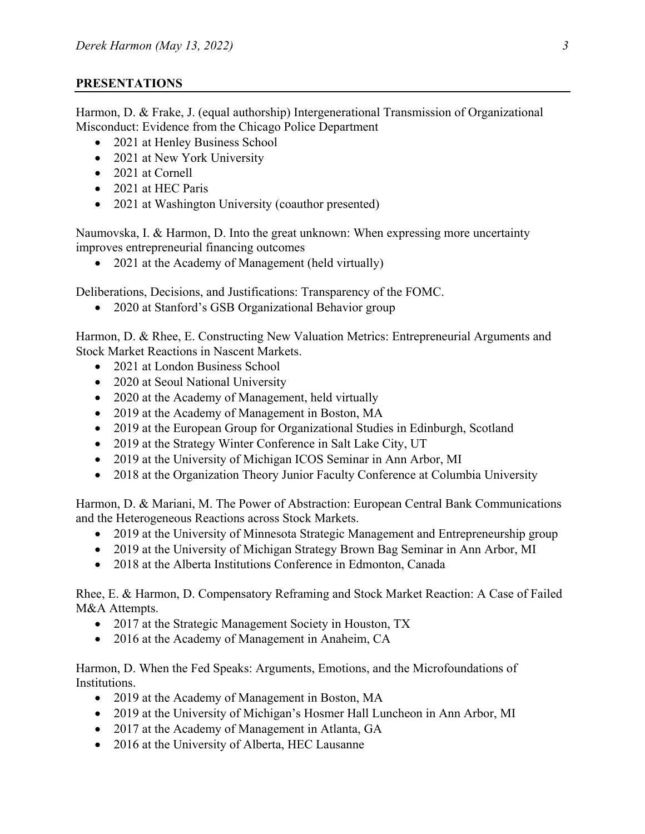## **PRESENTATIONS**

Harmon, D. & Frake, J. (equal authorship) Intergenerational Transmission of Organizational Misconduct: Evidence from the Chicago Police Department

- 2021 at Henley Business School
- 2021 at New York University
- 2021 at Cornell
- 2021 at HEC Paris
- 2021 at Washington University (coauthor presented)

Naumovska, I. & Harmon, D. Into the great unknown: When expressing more uncertainty improves entrepreneurial financing outcomes

• 2021 at the Academy of Management (held virtually)

Deliberations, Decisions, and Justifications: Transparency of the FOMC.

• 2020 at Stanford's GSB Organizational Behavior group

Harmon, D. & Rhee, E. Constructing New Valuation Metrics: Entrepreneurial Arguments and Stock Market Reactions in Nascent Markets.

- 2021 at London Business School
- 2020 at Seoul National University
- 2020 at the Academy of Management, held virtually
- 2019 at the Academy of Management in Boston, MA
- 2019 at the European Group for Organizational Studies in Edinburgh, Scotland
- 2019 at the Strategy Winter Conference in Salt Lake City, UT
- 2019 at the University of Michigan ICOS Seminar in Ann Arbor, MI
- 2018 at the Organization Theory Junior Faculty Conference at Columbia University

Harmon, D. & Mariani, M. The Power of Abstraction: European Central Bank Communications and the Heterogeneous Reactions across Stock Markets.

- 2019 at the University of Minnesota Strategic Management and Entrepreneurship group
- 2019 at the University of Michigan Strategy Brown Bag Seminar in Ann Arbor, MI
- 2018 at the Alberta Institutions Conference in Edmonton, Canada

Rhee, E. & Harmon, D. Compensatory Reframing and Stock Market Reaction: A Case of Failed M&A Attempts.

- 2017 at the Strategic Management Society in Houston, TX
- 2016 at the Academy of Management in Anaheim, CA

Harmon, D. When the Fed Speaks: Arguments, Emotions, and the Microfoundations of Institutions.

- 2019 at the Academy of Management in Boston, MA
- 2019 at the University of Michigan's Hosmer Hall Luncheon in Ann Arbor, MI
- 2017 at the Academy of Management in Atlanta, GA
- 2016 at the University of Alberta, HEC Lausanne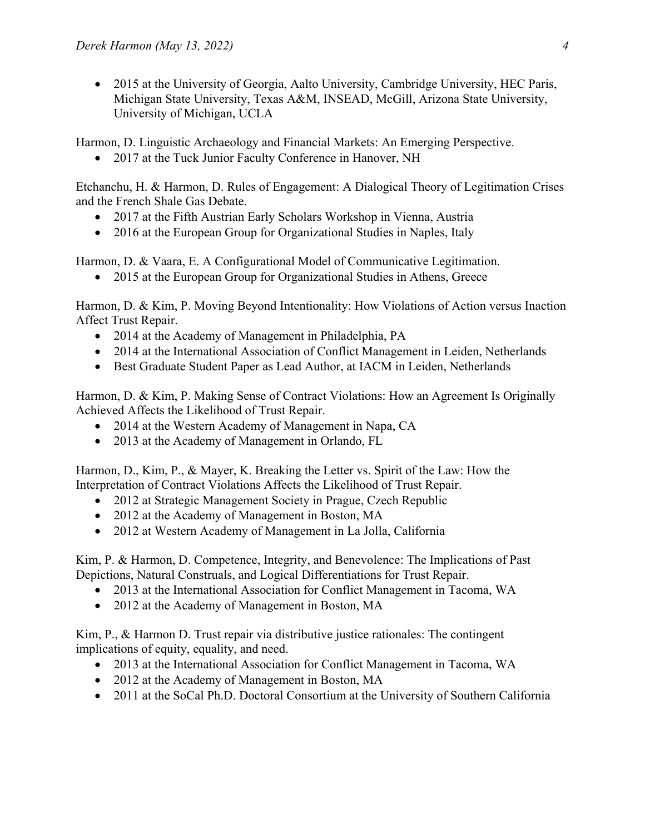• 2015 at the University of Georgia, Aalto University, Cambridge University, HEC Paris, Michigan State University, Texas A&M, INSEAD, McGill, Arizona State University, University of Michigan, UCLA

Harmon, D. Linguistic Archaeology and Financial Markets: An Emerging Perspective.

• 2017 at the Tuck Junior Faculty Conference in Hanover, NH

Etchanchu, H. & Harmon, D. Rules of Engagement: A Dialogical Theory of Legitimation Crises and the French Shale Gas Debate.

- 2017 at the Fifth Austrian Early Scholars Workshop in Vienna, Austria
- 2016 at the European Group for Organizational Studies in Naples, Italy

Harmon, D. & Vaara, E. A Configurational Model of Communicative Legitimation.

• 2015 at the European Group for Organizational Studies in Athens, Greece

Harmon, D. & Kim, P. Moving Beyond Intentionality: How Violations of Action versus Inaction Affect Trust Repair.

- 2014 at the Academy of Management in Philadelphia, PA
- 2014 at the International Association of Conflict Management in Leiden, Netherlands
- Best Graduate Student Paper as Lead Author, at IACM in Leiden, Netherlands

Harmon, D. & Kim, P. Making Sense of Contract Violations: How an Agreement Is Originally Achieved Affects the Likelihood of Trust Repair.

- 2014 at the Western Academy of Management in Napa, CA
- 2013 at the Academy of Management in Orlando, FL

Harmon, D., Kim, P., & Mayer, K. Breaking the Letter vs. Spirit of the Law: How the Interpretation of Contract Violations Affects the Likelihood of Trust Repair.

- 2012 at Strategic Management Society in Prague, Czech Republic
- 2012 at the Academy of Management in Boston, MA
- 2012 at Western Academy of Management in La Jolla, California

Kim, P. & Harmon, D. Competence, Integrity, and Benevolence: The Implications of Past Depictions, Natural Construals, and Logical Differentiations for Trust Repair.

- 2013 at the International Association for Conflict Management in Tacoma, WA
- 2012 at the Academy of Management in Boston, MA

Kim, P., & Harmon D. Trust repair via distributive justice rationales: The contingent implications of equity, equality, and need.

- 2013 at the International Association for Conflict Management in Tacoma, WA
- 2012 at the Academy of Management in Boston, MA
- 2011 at the SoCal Ph.D. Doctoral Consortium at the University of Southern California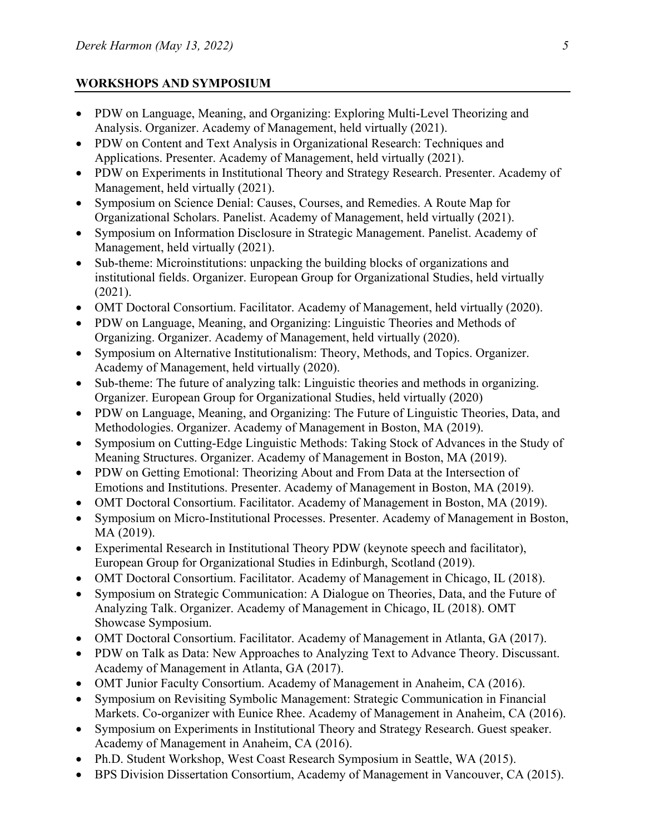## **WORKSHOPS AND SYMPOSIUM**

- PDW on Language, Meaning, and Organizing: Exploring Multi-Level Theorizing and Analysis. Organizer. Academy of Management, held virtually (2021).
- PDW on Content and Text Analysis in Organizational Research: Techniques and Applications. Presenter. Academy of Management, held virtually (2021).
- PDW on Experiments in Institutional Theory and Strategy Research. Presenter. Academy of Management, held virtually (2021).
- Symposium on Science Denial: Causes, Courses, and Remedies. A Route Map for Organizational Scholars. Panelist. Academy of Management, held virtually (2021).
- Symposium on Information Disclosure in Strategic Management. Panelist. Academy of Management, held virtually (2021).
- Sub-theme: Microinstitutions: unpacking the building blocks of organizations and institutional fields. Organizer. European Group for Organizational Studies, held virtually (2021).
- OMT Doctoral Consortium. Facilitator. Academy of Management, held virtually (2020).
- PDW on Language, Meaning, and Organizing: Linguistic Theories and Methods of Organizing. Organizer. Academy of Management, held virtually (2020).
- Symposium on Alternative Institutionalism: Theory, Methods, and Topics. Organizer. Academy of Management, held virtually (2020).
- Sub-theme: The future of analyzing talk: Linguistic theories and methods in organizing. Organizer. European Group for Organizational Studies, held virtually (2020)
- PDW on Language, Meaning, and Organizing: The Future of Linguistic Theories, Data, and Methodologies. Organizer. Academy of Management in Boston, MA (2019).
- Symposium on Cutting-Edge Linguistic Methods: Taking Stock of Advances in the Study of Meaning Structures. Organizer. Academy of Management in Boston, MA (2019).
- PDW on Getting Emotional: Theorizing About and From Data at the Intersection of Emotions and Institutions. Presenter. Academy of Management in Boston, MA (2019).
- OMT Doctoral Consortium. Facilitator. Academy of Management in Boston, MA (2019).
- Symposium on Micro-Institutional Processes. Presenter. Academy of Management in Boston, MA (2019).
- Experimental Research in Institutional Theory PDW (keynote speech and facilitator), European Group for Organizational Studies in Edinburgh, Scotland (2019).
- OMT Doctoral Consortium. Facilitator. Academy of Management in Chicago, IL (2018).
- Symposium on Strategic Communication: A Dialogue on Theories, Data, and the Future of Analyzing Talk. Organizer. Academy of Management in Chicago, IL (2018). OMT Showcase Symposium.
- OMT Doctoral Consortium. Facilitator. Academy of Management in Atlanta, GA (2017).
- PDW on Talk as Data: New Approaches to Analyzing Text to Advance Theory. Discussant. Academy of Management in Atlanta, GA (2017).
- OMT Junior Faculty Consortium. Academy of Management in Anaheim, CA (2016).
- Symposium on Revisiting Symbolic Management: Strategic Communication in Financial Markets. Co-organizer with Eunice Rhee. Academy of Management in Anaheim, CA (2016).
- Symposium on Experiments in Institutional Theory and Strategy Research. Guest speaker. Academy of Management in Anaheim, CA (2016).
- Ph.D. Student Workshop, West Coast Research Symposium in Seattle, WA (2015).
- BPS Division Dissertation Consortium, Academy of Management in Vancouver, CA (2015).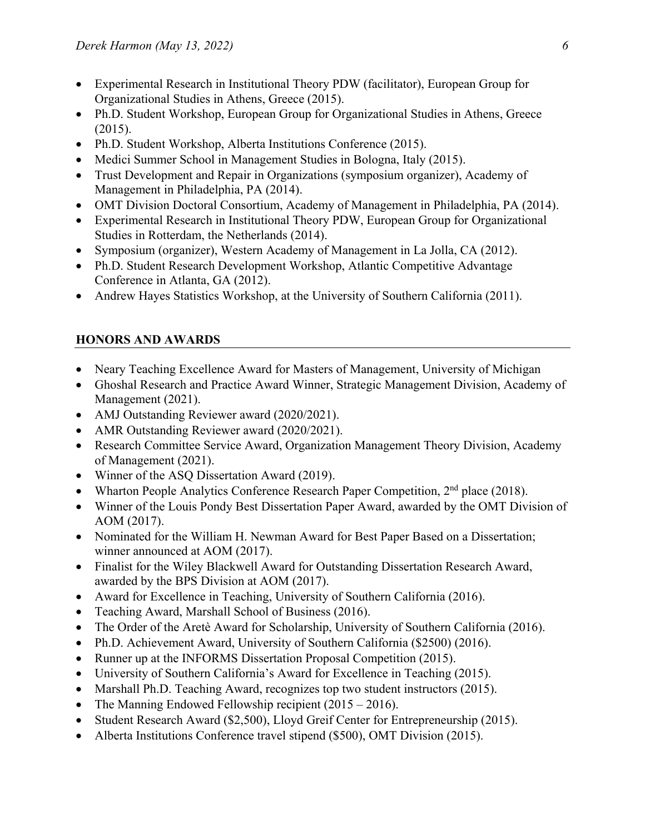- Experimental Research in Institutional Theory PDW (facilitator), European Group for Organizational Studies in Athens, Greece (2015).
- Ph.D. Student Workshop, European Group for Organizational Studies in Athens, Greece (2015).
- Ph.D. Student Workshop, Alberta Institutions Conference (2015).
- Medici Summer School in Management Studies in Bologna, Italy (2015).
- Trust Development and Repair in Organizations (symposium organizer), Academy of Management in Philadelphia, PA (2014).
- OMT Division Doctoral Consortium, Academy of Management in Philadelphia, PA (2014).
- Experimental Research in Institutional Theory PDW, European Group for Organizational Studies in Rotterdam, the Netherlands (2014).
- Symposium (organizer), Western Academy of Management in La Jolla, CA (2012).
- Ph.D. Student Research Development Workshop, Atlantic Competitive Advantage Conference in Atlanta, GA (2012).
- Andrew Hayes Statistics Workshop, at the University of Southern California (2011).

## **HONORS AND AWARDS**

- Neary Teaching Excellence Award for Masters of Management, University of Michigan
- Ghoshal Research and Practice Award Winner, Strategic Management Division, Academy of Management (2021).
- AMJ Outstanding Reviewer award (2020/2021).
- AMR Outstanding Reviewer award (2020/2021).
- Research Committee Service Award, Organization Management Theory Division, Academy of Management (2021).
- Winner of the ASO Dissertation Award (2019).
- Wharton People Analytics Conference Research Paper Competition,  $2<sup>nd</sup>$  place (2018).
- Winner of the Louis Pondy Best Dissertation Paper Award, awarded by the OMT Division of AOM (2017).
- Nominated for the William H. Newman Award for Best Paper Based on a Dissertation; winner announced at AOM (2017).
- Finalist for the Wiley Blackwell Award for Outstanding Dissertation Research Award, awarded by the BPS Division at AOM (2017).
- Award for Excellence in Teaching, University of Southern California (2016).
- Teaching Award, Marshall School of Business (2016).
- The Order of the Aretè Award for Scholarship, University of Southern California (2016).
- Ph.D. Achievement Award, University of Southern California (\$2500) (2016).
- Runner up at the INFORMS Dissertation Proposal Competition (2015).
- University of Southern California's Award for Excellence in Teaching (2015).
- Marshall Ph.D. Teaching Award, recognizes top two student instructors (2015).
- The Manning Endowed Fellowship recipient (2015 2016).
- Student Research Award (\$2,500), Lloyd Greif Center for Entrepreneurship (2015).
- Alberta Institutions Conference travel stipend (\$500), OMT Division (2015).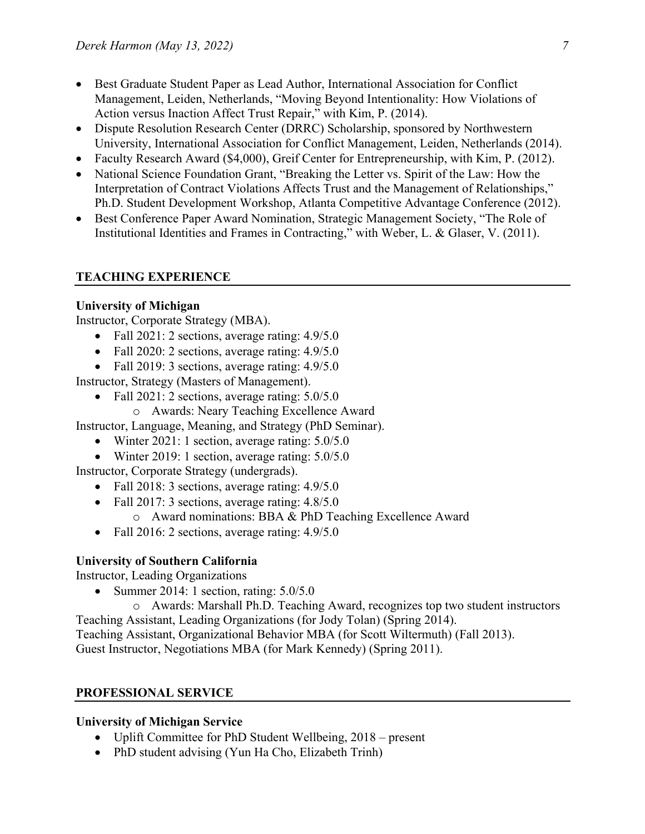- Best Graduate Student Paper as Lead Author, International Association for Conflict Management, Leiden, Netherlands, "Moving Beyond Intentionality: How Violations of Action versus Inaction Affect Trust Repair," with Kim, P. (2014).
- Dispute Resolution Research Center (DRRC) Scholarship, sponsored by Northwestern University, International Association for Conflict Management, Leiden, Netherlands (2014).
- Faculty Research Award (\$4,000), Greif Center for Entrepreneurship, with Kim, P. (2012).
- National Science Foundation Grant, "Breaking the Letter vs. Spirit of the Law: How the Interpretation of Contract Violations Affects Trust and the Management of Relationships," Ph.D. Student Development Workshop, Atlanta Competitive Advantage Conference (2012).
- Best Conference Paper Award Nomination, Strategic Management Society, "The Role of Institutional Identities and Frames in Contracting," with Weber, L. & Glaser, V. (2011).

## **TEACHING EXPERIENCE**

## **University of Michigan**

Instructor, Corporate Strategy (MBA).

- Fall 2021: 2 sections, average rating: 4.9/5.0
- Fall 2020: 2 sections, average rating:  $4.9/5.0$
- Fall 2019: 3 sections, average rating: 4.9/5.0

Instructor, Strategy (Masters of Management).

- Fall 2021: 2 sections, average rating:  $5.0/5.0$ 
	- o Awards: Neary Teaching Excellence Award

Instructor, Language, Meaning, and Strategy (PhD Seminar).

- Winter 2021: 1 section, average rating: 5.0/5.0
- Winter 2019: 1 section, average rating: 5.0/5.0

Instructor, Corporate Strategy (undergrads).

- Fall 2018: 3 sections, average rating: 4.9/5.0
- Fall 2017: 3 sections, average rating:  $4.8/5.0$ 
	- o Award nominations: BBA & PhD Teaching Excellence Award
- Fall 2016: 2 sections, average rating:  $4.9/5.0$

## **University of Southern California**

Instructor, Leading Organizations

• Summer 2014: 1 section, rating:  $5.0/5.0$ 

o Awards: Marshall Ph.D. Teaching Award, recognizes top two student instructors Teaching Assistant, Leading Organizations (for Jody Tolan) (Spring 2014).

Teaching Assistant, Organizational Behavior MBA (for Scott Wiltermuth) (Fall 2013). Guest Instructor, Negotiations MBA (for Mark Kennedy) (Spring 2011).

## **PROFESSIONAL SERVICE**

## **University of Michigan Service**

- Uplift Committee for PhD Student Wellbeing, 2018 present
- PhD student advising (Yun Ha Cho, Elizabeth Trinh)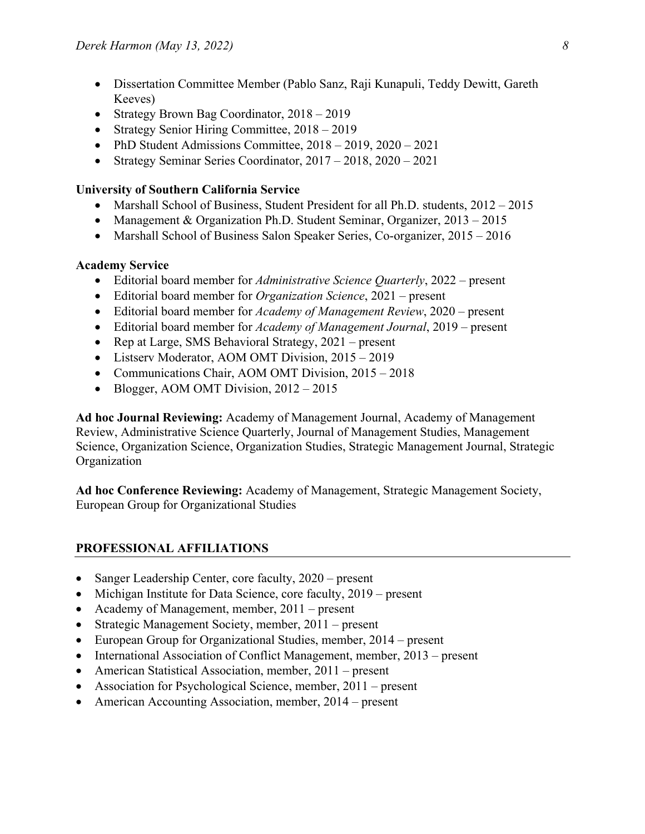- Dissertation Committee Member (Pablo Sanz, Raji Kunapuli, Teddy Dewitt, Gareth Keeves)
- Strategy Brown Bag Coordinator,  $2018 2019$
- Strategy Senior Hiring Committee,  $2018 2019$
- PhD Student Admissions Committee,  $2018 2019$ ,  $2020 2021$
- Strategy Seminar Series Coordinator,  $2017 2018$ ,  $2020 2021$

#### **University of Southern California Service**

- Marshall School of Business, Student President for all Ph.D. students,  $2012 2015$
- Management & Organization Ph.D. Student Seminar, Organizer, 2013 2015
- Marshall School of Business Salon Speaker Series, Co-organizer, 2015 2016

#### **Academy Service**

- Editorial board member for *Administrative Science Quarterly*, 2022 present
- Editorial board member for *Organization Science*, 2021 present
- Editorial board member for *Academy of Management Review*, 2020 present
- Editorial board member for *Academy of Management Journal*, 2019 present
- Rep at Large, SMS Behavioral Strategy, 2021 present
- Listserv Moderator, AOM OMT Division, 2015 2019
- Communications Chair, AOM OMT Division, 2015 2018
- Blogger, AOM OMT Division,  $2012 2015$

**Ad hoc Journal Reviewing:** Academy of Management Journal, Academy of Management Review, Administrative Science Quarterly, Journal of Management Studies, Management Science, Organization Science, Organization Studies, Strategic Management Journal, Strategic Organization

**Ad hoc Conference Reviewing:** Academy of Management, Strategic Management Society, European Group for Organizational Studies

## **PROFESSIONAL AFFILIATIONS**

- Sanger Leadership Center, core faculty, 2020 present
- Michigan Institute for Data Science, core faculty, 2019 present
- Academy of Management, member, 2011 present
- Strategic Management Society, member, 2011 present
- European Group for Organizational Studies, member, 2014 present
- International Association of Conflict Management, member, 2013 present
- American Statistical Association, member, 2011 present
- Association for Psychological Science, member, 2011 present
- American Accounting Association, member, 2014 present